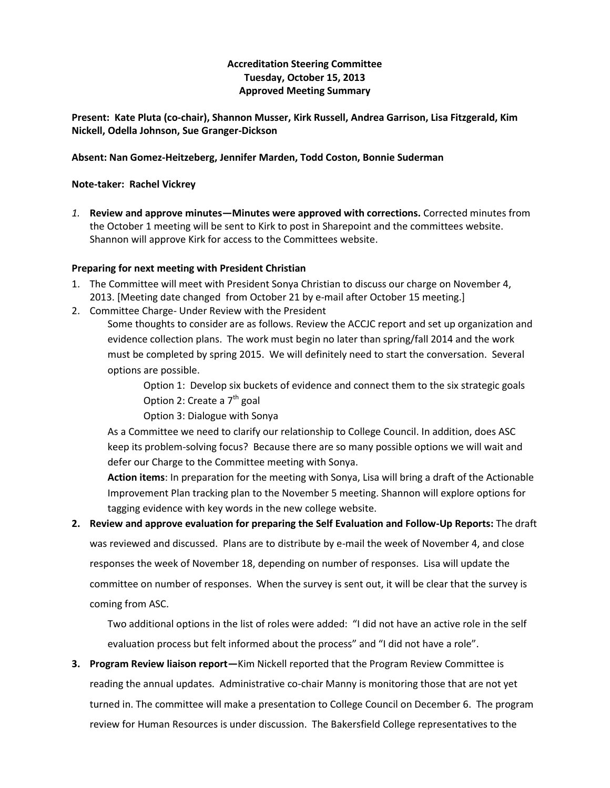### **Accreditation Steering Committee Tuesday, October 15, 2013 Approved Meeting Summary**

**Present: Kate Pluta (co-chair), Shannon Musser, Kirk Russell, Andrea Garrison, Lisa Fitzgerald, Kim Nickell, Odella Johnson, Sue Granger-Dickson**

#### **Absent: Nan Gomez-Heitzeberg, Jennifer Marden, Todd Coston, Bonnie Suderman**

#### **Note-taker: Rachel Vickrey**

*1.* **Review and approve minutes—Minutes were approved with corrections.** Corrected minutes from the October 1 meeting will be sent to Kirk to post in Sharepoint and the committees website. Shannon will approve Kirk for access to the Committees website.

#### **Preparing for next meeting with President Christian**

- 1. The Committee will meet with President Sonya Christian to discuss our charge on November 4, 2013. [Meeting date changed from October 21 by e-mail after October 15 meeting.]
- 2. Committee Charge- Under Review with the President

Some thoughts to consider are as follows. Review the ACCJC report and set up organization and evidence collection plans. The work must begin no later than spring/fall 2014 and the work must be completed by spring 2015. We will definitely need to start the conversation. Several options are possible.

> Option 1: Develop six buckets of evidence and connect them to the six strategic goals Option 2: Create a 7<sup>th</sup> goal

Option 3: Dialogue with Sonya

As a Committee we need to clarify our relationship to College Council. In addition, does ASC keep its problem-solving focus? Because there are so many possible options we will wait and defer our Charge to the Committee meeting with Sonya.

**Action items**: In preparation for the meeting with Sonya, Lisa will bring a draft of the Actionable Improvement Plan tracking plan to the November 5 meeting. Shannon will explore options for tagging evidence with key words in the new college website.

# **2. Review and approve evaluation for preparing the Self Evaluation and Follow-Up Reports:** The draft was reviewed and discussed. Plans are to distribute by e-mail the week of November 4, and close responses the week of November 18, depending on number of responses. Lisa will update the committee on number of responses. When the survey is sent out, it will be clear that the survey is coming from ASC.

Two additional options in the list of roles were added: "I did not have an active role in the self evaluation process but felt informed about the process" and "I did not have a role".

**3. Program Review liaison report—**Kim Nickell reported that the Program Review Committee is reading the annual updates. Administrative co-chair Manny is monitoring those that are not yet turned in. The committee will make a presentation to College Council on December 6. The program review for Human Resources is under discussion. The Bakersfield College representatives to the